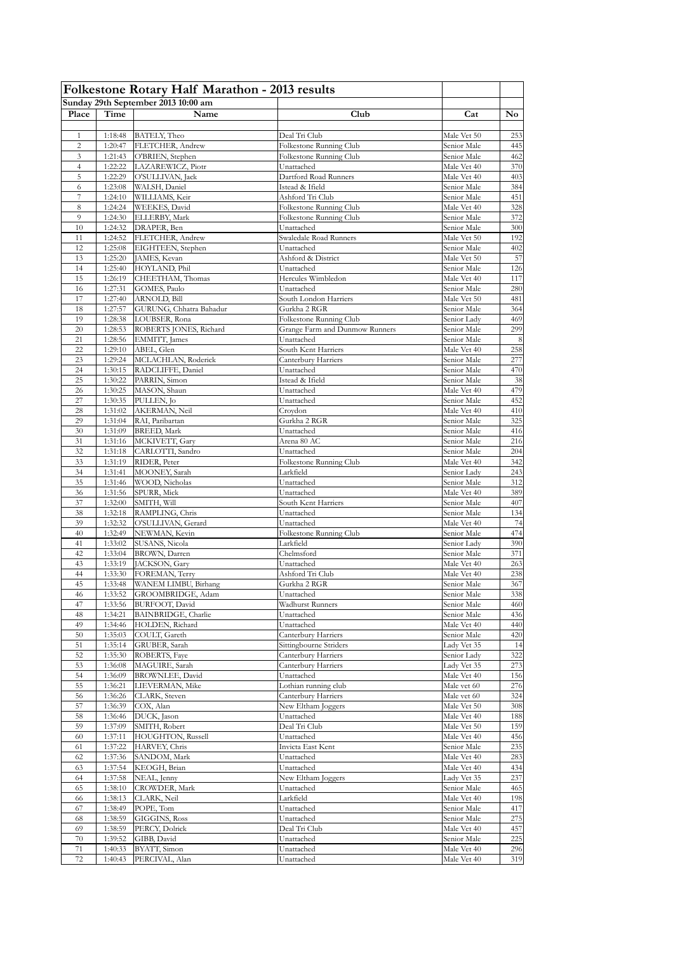|                     |                    | Folkestone Rotary Half Marathon - 2013 results |                                              |                            |            |
|---------------------|--------------------|------------------------------------------------|----------------------------------------------|----------------------------|------------|
|                     |                    | Sunday 29th September 2013 10:00 am            |                                              |                            |            |
| Place               | Time               | Name                                           | Club                                         | Cat                        | No         |
|                     |                    |                                                |                                              |                            |            |
| $\mathbf{1}$        | 1:18:48            | <b>BATELY, Theo</b>                            | Deal Tri Club                                | Male Vet 50                | 253        |
| $\overline{c}$      | 1:20:47<br>1:21:43 | FLETCHER, Andrew                               | Folkestone Running Club                      | Senior Male                | 445        |
| 3<br>$\overline{4}$ | 1:22:22            | O'BRIEN, Stephen<br>LAZAREWICZ, Piotr          | Folkestone Running Club<br>Unattached        | Senior Male<br>Male Vet 40 | 462<br>370 |
| 5                   | 1:22:29            | O'SULLIVAN, Jack                               | Dartford Road Runners                        | Male Vet 40                | 403        |
| 6                   | 1:23:08            | WALSH, Daniel                                  | Istead & Ifield                              | Senior Male                | 384        |
| 7                   | 1:24:10            | WILLIAMS, Keir                                 | Ashford Tri Club                             | Senior Male                | 451        |
| 8                   | 1:24:24            | WEEKES, David                                  | Folkestone Running Club                      | Male Vet 40                | 328        |
| 9                   | 1:24:30            | ELLERBY, Mark                                  | Folkestone Running Club                      | Senior Male                | 372        |
| 10                  | 1:24:32            | DRAPER, Ben                                    | Unattached                                   | Senior Male                | 300        |
| 11<br>12            | 1:24:52<br>1:25:08 | FLETCHER, Andrew<br>EIGHTEEN, Stephen          | Swaledale Road Runners<br>Unattached         | Male Vet 50<br>Senior Male | 192<br>402 |
| 13                  | 1:25:20            | JAMES, Kevan                                   | Ashford & District                           | Male Vet 50                | 57         |
| 14                  | 1:25:40            | HOYLAND, Phil                                  | Unattached                                   | Senior Male                | 126        |
| 15                  | 1:26:19            | CHEETHAM, Thomas                               | Hercules Wimbledon                           | Male Vet 40                | 117        |
| 16                  | 1:27:31            | GOMES, Paulo                                   | Unattached                                   | Senior Male                | 280        |
| 17                  | 1:27:40            | ARNOLD, Bill                                   | South London Harriers                        | Male Vet 50                | 481        |
| 18                  | 1:27:57            | GURUNG, Chhatra Bahadur                        | Gurkha 2 RGR                                 | Senior Male                | 364        |
| 19                  | 1:28:38            | LOUBSER, Rona                                  | Folkestone Running Club                      | Senior Lady                | 469        |
| 20<br>21            | 1:28:53<br>1:28:56 | ROBERTS JONES, Richard<br>EMMITT, James        | Grange Farm and Dunmow Runners<br>Unattached | Senior Male<br>Senior Male | 299<br>8   |
| 22                  | 1:29:10            | ABEL, Glen                                     | South Kent Harriers                          | Male Vet 40                | 258        |
| 23                  | 1:29:24            | MCLACHLAN, Roderick                            | Canterbury Harriers                          | Senior Male                | 277        |
| 24                  | 1:30:15            | RADCLIFFE, Daniel                              | Unattached                                   | Senior Male                | 470        |
| 25                  | 1:30:22            | PARRIN, Simon                                  | Istead & Ifield                              | Senior Male                | 38         |
| 26                  | 1:30:25            | MASON, Shaun                                   | Unattached                                   | Male Vet 40                | 479        |
| 27                  | 1:30:35            | PULLEN, Jo                                     | Unattached                                   | Senior Male                | 452        |
| 28                  | 1:31:02            | AKERMAN, Neil                                  | Croydon                                      | Male Vet 40                | 410        |
| 29<br>30            | 1:31:04<br>1:31:09 | RAI, Paribartan<br><b>BREED, Mark</b>          | Gurkha 2 RGR<br>Unattached                   | Senior Male<br>Senior Male | 325<br>416 |
| 31                  | 1:31:16            | MCKIVETT, Gary                                 | Arena 80 AC                                  | Senior Male                | 216        |
| 32                  | 1:31:18            | CARLOTTI, Sandro                               | Unattached                                   | Senior Male                | 204        |
| 33                  | 1:31:19            | RIDER, Peter                                   | Folkestone Running Club                      | Male Vet 40                | 342        |
| 34                  | 1:31:41            | MOONEY, Sarah                                  | Larkfield                                    | Senior Lady                | 243        |
| 35                  | 1:31:46            | WOOD, Nicholas                                 | Unattached                                   | Senior Male                | 312        |
| 36                  | 1:31:56            | SPURR, Mick                                    | Unattached                                   | Male Vet 40                | 389        |
| 37                  | 1:32:00            | SMITH, Will                                    | South Kent Harriers                          | Senior Male                | 407        |
| 38<br>39            | 1:32:18<br>1:32:32 | RAMPLING, Chris<br>O'SULLIVAN, Gerard          | Unattached<br>Unattached                     | Senior Male<br>Male Vet 40 | 134<br>74  |
| 40                  | 1:32:49            | NEWMAN, Kevin                                  | Folkestone Running Club                      | Senior Male                | 474        |
| 41                  | 1:33:02            | SUSANS, Nicola                                 | Larkfield                                    | Senior Lady                | 390        |
| 42                  | 1:33:04            | BROWN, Darren                                  | Chelmsford                                   | Senior Male                | 371        |
| 43                  | 1:33:19            | JACKSON, Gary                                  | Unattached                                   | Male Vet 40                | 263        |
| 44                  | 1:33:30            | FOREMAN, Terry                                 | Ashford Tri Club                             | Male Vet 40                | 238        |
| 45                  | 1:33:48            | WANEM LIMBU, Birhang                           | Gurkha 2 RGR                                 | Senior Male                | 367        |
| 46                  | 1:33:52            | GROOMBRIDGE, Adam                              | Unattached                                   | Senior Male                | 338        |
| 47<br>48            | 1:33:56<br>1:34:21 | BURFOOT, David<br>BAINBRIDGE, Charlie          | Wadhurst Runners<br>Unattached               | Senior Male<br>Senior Male | 460<br>436 |
| 49                  | 1:34:46            | HOLDEN, Richard                                | Unattached                                   | Male Vet 40                | 440        |
| 50                  | 1:35:03            | COULT, Gareth                                  | Canterbury Harriers                          | Senior Male                | 420        |
| 51                  | 1:35:14            | GRUBER, Sarah                                  | Sittingbourne Striders                       | Lady Vet 35                | 14         |
| 52                  | 1:35:30            | ROBERTS, Faye                                  | Canterbury Harriers                          | Senior Lady                | 322        |
| 53                  | 1:36:08            | MAGUIRE, Sarah                                 | Canterbury Harriers                          | Lady Vet 35                | 273        |
| 54                  | 1:36:09            | BROWNLEE, David                                | Unattached                                   | Male Vet 40                | 156        |
| 55                  | 1:36:21            | LIEVERMAN, Mike                                | Lothian running club                         | Male vet 60                | 276        |
| 56<br>57            | 1:36:26<br>1:36:39 | CLARK, Steven<br>COX, Alan                     | Canterbury Harriers<br>New Eltham Joggers    | Male vet 60<br>Male Vet 50 | 324<br>308 |
| 58                  | 1:36:46            | DUCK, Jason                                    | Unattached                                   | Male Vet 40                | 188        |
| 59                  | 1:37:09            | SMITH, Robert                                  | Deal Tri Club                                | Male Vet 50                | 159        |
| 60                  | 1:37:11            | HOUGHTON, Russell                              | Unattached                                   | Male Vet 40                | 456        |
| 61                  | 1:37:22            | HARVEY, Chris                                  | Invicta East Kent                            | Senior Male                | 235        |
| 62                  | 1:37:36            | SANDOM, Mark                                   | Unattached                                   | Male Vet 40                | 283        |
| 63                  | 1:37:54            | KEOGH, Brian                                   | Unattached                                   | Male Vet 40                | 434        |
| 64                  | 1:37:58            | NEAL, Jenny                                    | New Eltham Joggers                           | Lady Vet 35                | 237        |
| 65                  | 1:38:10            | CROWDER, Mark                                  | Unattached                                   | Senior Male                | 465        |
| 66<br>67            | 1:38:13<br>1:38:49 | CLARK, Neil<br>POPE, Tom                       | Larkfield<br>Unattached                      | Male Vet 40<br>Senior Male | 198<br>417 |
| 68                  | 1:38:59            | GIGGINS, Ross                                  | Unattached                                   | Senior Male                | 275        |
| 69                  | 1:38:59            | PERCY, Dolrick                                 | Deal Tri Club                                | Male Vet 40                | 457        |
| 70                  | 1:39:52            | GIBB, David                                    | Unattached                                   | Senior Male                | 225        |
| 71                  | 1:40:33            | BYATT, Simon                                   | Unattached                                   | Male Vet 40                | 296        |
| 72                  | 1:40:43            | PERCIVAL, Alan                                 | Unattached                                   | Male Vet 40                | 319        |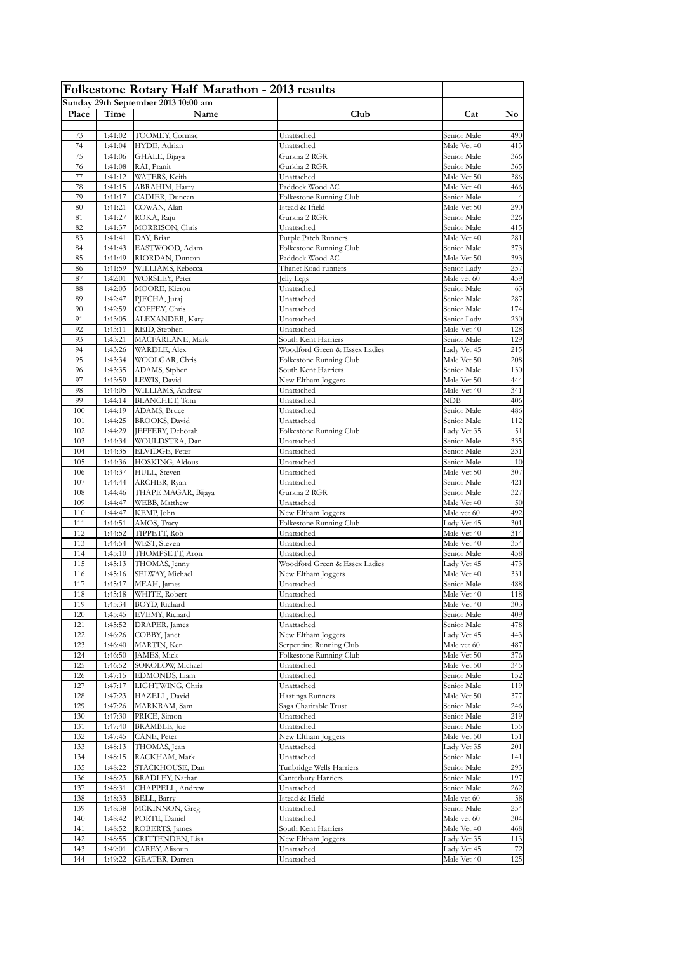|            |                    | Folkestone Rotary Half Marathon - 2013 results |                                                 |                            |                |
|------------|--------------------|------------------------------------------------|-------------------------------------------------|----------------------------|----------------|
|            |                    | Sunday 29th September 2013 10:00 am            |                                                 |                            |                |
| Place      | Time               | Name                                           | Club                                            | Cat                        | No             |
|            |                    |                                                |                                                 |                            |                |
| 73<br>74   | 1:41:02            | TOOMEY, Cormac                                 | Unattached                                      | Senior Male<br>Male Vet 40 | 490            |
| 75         | 1:41:04<br>1:41:06 | HYDE, Adrian<br>GHALE, Bijaya                  | Unattached<br>Gurkha 2 RGR                      | Senior Male                | 413<br>366     |
| 76         | 1:41:08            | RAI, Pranit                                    | Gurkha 2 RGR                                    | Senior Male                | 365            |
| 77         | 1:41:12            | WATERS, Keith                                  | Unattached                                      | Male Vet 50                | 386            |
| 78         | 1:41:15            | ABRAHIM, Harry                                 | Paddock Wood AC                                 | Male Vet 40                | 466            |
| 79         | 1:41:17            | CADIER, Duncan                                 | Folkestone Running Club                         | Senior Male                | $\overline{4}$ |
| 80         | 1:41:21            | COWAN, Alan                                    | Istead & Ifield                                 | Male Vet 50                | 290            |
| 81         | 1:41:27            | ROKA, Raju                                     | Gurkha 2 RGR                                    | Senior Male                | 326            |
| 82         | 1:41:37            | MORRISON, Chris                                | Unattached                                      | Senior Male                | 415            |
| 83<br>84   | 1:41:41<br>1:41:43 | DAY, Brian<br>EASTWOOD, Adam                   | Purple Patch Runners<br>Folkestone Running Club | Male Vet 40<br>Senior Male | 281<br>373     |
| 85         | 1:41:49            | RIORDAN, Duncan                                | Paddock Wood AC                                 | Male Vet 50                | 393            |
| 86         | 1:41:59            | WILLIAMS, Rebecca                              | Thanet Road runners                             | Senior Lady                | 257            |
| 87         | 1:42:01            | WORSLEY, Peter                                 | Jelly Legs                                      | Male vet 60                | 459            |
| 88         | 1:42:03            | MOORE, Kieron                                  | Unattached                                      | Senior Male                | 63             |
| 89         | 1:42:47            | PJECHA, Juraj                                  | Unattached                                      | Senior Male                | 287            |
| 90         | 1:42:59            | COFFEY, Chris                                  | Unattached                                      | Senior Male                | 174            |
| 91         | 1:43:05            | ALEXANDER, Katy                                | Unattached                                      | Senior Lady                | 230            |
| 92         | 1:43:11            | REID, Stephen                                  | Unattached                                      | Male Vet 40                | 128            |
| 93         | 1:43:21            | MACFARLANE, Mark                               | South Kent Harriers                             | Senior Male                | 129            |
| 94<br>95   | 1:43:26            | WARDLE, Alex                                   | Woodford Green & Essex Ladies                   | Lady Vet 45                | 215            |
| 96         | 1:43:34<br>1:43:35 | WOOLGAR, Chris<br>ADAMS, Stphen                | Folkestone Running Club<br>South Kent Harriers  | Male Vet 50<br>Senior Male | 208<br>130     |
| 97         | 1:43:59            | LEWIS, David                                   | New Eltham Joggers                              | Male Vet 50                | 444            |
| 98         | 1:44:05            | WILLIAMS, Andrew                               | Unattached                                      | Male Vet 40                | 341            |
| 99         | 1:44:14            | <b>BLANCHET, Tom</b>                           | Unattached                                      | NDB                        | 406            |
| 100        | 1:44:19            | ADAMS, Bruce                                   | Unattached                                      | Senior Male                | 486            |
| 101        | 1:44:25            | <b>BROOKS</b> , David                          | Unattached                                      | Senior Male                | 112            |
| 102        | 1:44:29            | JEFFERY, Deborah                               | Folkestone Running Club                         | Lady Vet 35                | 51             |
| 103        | 1:44:34            | WOULDSTRA, Dan                                 | Unattached                                      | Senior Male                | 335            |
| 104        | 1:44:35            | ELVIDGE, Peter                                 | Unattached                                      | Senior Male                | 231            |
| 105        | 1:44:36<br>1:44:37 | HOSKING, Aldous                                | Unattached<br>Unattached                        | Senior Male                | 10<br>307      |
| 106<br>107 | 1:44:44            | HULL, Steven<br>ARCHER, Ryan                   | Unattached                                      | Male Vet 50<br>Senior Male | 421            |
| 108        | 1:44:46            | THAPE MAGAR, Bijaya                            | Gurkha 2 RGR                                    | Senior Male                | 327            |
| 109        | 1:44:47            | WEBB, Matthew                                  | Unattached                                      | Male Vet 40                | 50             |
| 110        | 1:44:47            | KEMP, John                                     | New Eltham Joggers                              | Male vet 60                | 492            |
| 111        | 1:44:51            | AMOS, Tracy                                    | Folkestone Running Club                         | Lady Vet 45                | 301            |
| 112        | 1:44:52            | TIPPETT, Rob                                   | Unattached                                      | Male Vet 40                | 314            |
| 113        | 1:44:54            | WEST, Steven                                   | Unattached                                      | Male Vet 40                | 354            |
| 114        | 1:45:10            | THOMPSETT, Aron                                | Unattached                                      | Senior Male                | 458            |
| 115        | 1:45:13            | THOMAS, Jenny                                  | Woodford Green & Essex Ladies                   | Lady Vet 45                | 473            |
| 116<br>117 | 1:45:16<br>1:45:17 | SELWAY, Michael<br>MEAH, James                 | New Eltham Joggers<br>Unattached                | Male Vet 40<br>Senior Male | 331<br>488     |
| 118        | 1:45:18            | WHITE, Robert                                  | Unattached                                      | Male Vet 40                | 118            |
| 119        | 1:45:34            | BOYD, Richard                                  | Unattached                                      | Male Vet 40                | 303            |
| 120        | 1:45:45            | EVEMY, Richard                                 | Unattached                                      | Senior Male                | 409            |
| 121        | 1:45:52            | DRAPER, James                                  | Unattached                                      | Senior Male                | 478            |
| 122        | 1:46:26            | COBBY, Janet                                   | New Eltham Joggers                              | Lady Vet 45                | 443            |
| 123        | 1:46:40            | MARTIN, Ken                                    | Serpentine Running Club                         | Male vet 60                | 487            |
| 124        | 1:46:50            | JAMES, Mick                                    | Folkestone Running Club                         | Male Vet 50                | 376            |
| 125        | 1:46:52            | SOKOLOW, Michael                               | Unattached                                      | Male Vet 50                | 345            |
| 126<br>127 | 1:47:15<br>1:47:17 | EDMONDS, Liam<br>LIGHTWING, Chris              | Unattached<br>Unattached                        | Senior Male<br>Senior Male | 152<br>119     |
| 128        | 1:47:23            | HAZELL, David                                  | Hastings Runners                                | Male Vet 50                | 377            |
| 129        | 1:47:26            | MARKRAM, Sam                                   | Saga Charitable Trust                           | Senior Male                | 246            |
| 130        | 1:47:30            | PRICE, Simon                                   | Unattached                                      | Senior Male                | 219            |
| 131        | 1:47:40            | <b>BRAMBLE</b> , Joe                           | Unattached                                      | Senior Male                | 155            |
| 132        | 1:47:45            | CANE, Peter                                    | New Eltham Joggers                              | Male Vet 50                | 151            |
| 133        | 1:48:13            | THOMAS, Jean                                   | Unattached                                      | Lady Vet 35                | 201            |
| 134        | 1:48:15            | RACKHAM, Mark                                  | Unattached                                      | Senior Male                | 141            |
| 135        | 1:48:22            | STACKHOUSE, Dan                                | Tunbridge Wells Harriers                        | Senior Male                | 293            |
| 136        | 1:48:23            | BRADLEY, Nathan                                | Canterbury Harriers                             | Senior Male                | 197            |
| 137<br>138 | 1:48:31<br>1:48:33 | CHAPPELL, Andrew<br>BELL, Barry                | Unattached<br>Istead & Ifield                   | Senior Male<br>Male vet 60 | 262<br>58      |
| 139        | 1:48:38            | MCKINNON, Greg                                 | Unattached                                      | Senior Male                | 254            |
| 140        | 1:48:42            | PORTE, Daniel                                  | Unattached                                      | Male vet 60                | 304            |
| 141        | 1:48:52            | ROBERTS, James                                 | South Kent Harriers                             | Male Vet 40                | 468            |
| 142        | 1:48:55            | CRITTENDEN, Lisa                               | New Eltham Joggers                              | Lady Vet 35                | 113            |
| 143        | 1:49:01            | CAREY, Alisoun                                 | Unattached                                      | Lady Vet 45                | 72             |
| 144        | 1:49:22            | GEATER, Darren                                 | Unattached                                      | Male Vet 40                | 125            |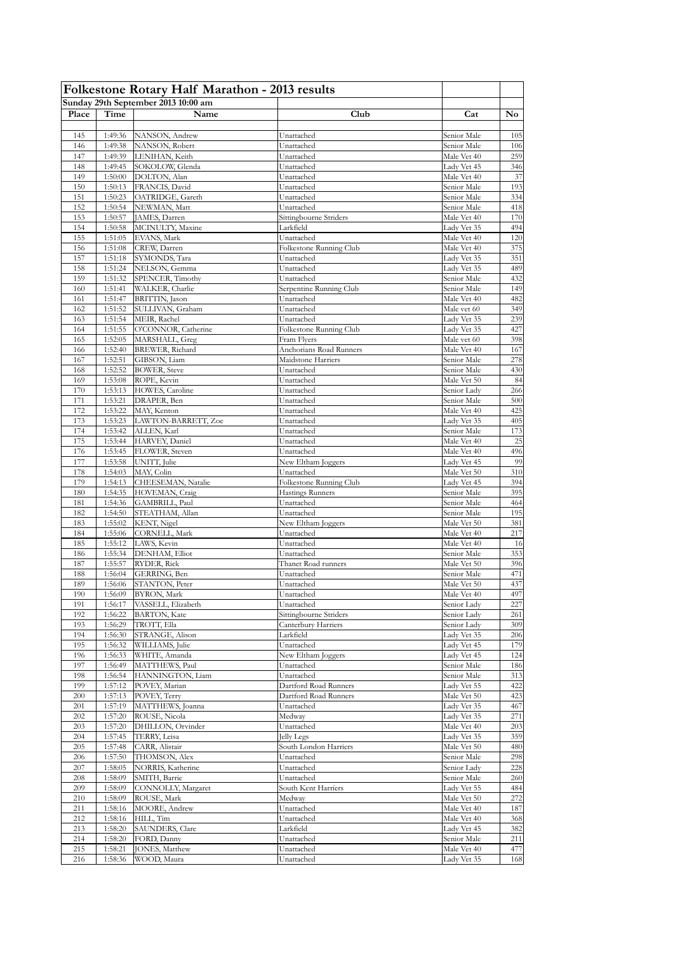|            |                    | Folkestone Rotary Half Marathon - 2013 results |                                   |                            |            |
|------------|--------------------|------------------------------------------------|-----------------------------------|----------------------------|------------|
|            |                    | Sunday 29th September 2013 10:00 am            |                                   |                            |            |
| Place      | Time               | Name                                           | Club                              | Cat                        | No         |
|            |                    |                                                |                                   |                            |            |
| 145<br>146 | 1:49:36<br>1:49:38 | NANSON, Andrew<br>NANSON, Robert               | Unattached<br>Unattached          | Senior Male<br>Senior Male | 105<br>106 |
| 147        | 1:49:39            | LENIHAN, Keith                                 | Unattached                        | Male Vet 40                | 259        |
| 148        | 1:49:45            | SOKOLOW, Glenda                                | Unattached                        | Lady Vet 45                | 346        |
| 149        | 1:50:00            | DOLTON, Alan                                   | Unattached                        | Male Vet 40                | 37         |
| 150        | 1:50:13            | FRANCIS, David                                 | Unattached                        | Senior Male                | 193        |
| 151        | 1:50:23            | OATRIDGE, Gareth                               | Unattached                        | Senior Male                | 334        |
| 152        | 1:50:54            | NEWMAN, Matt                                   | Unattached                        | Senior Male                | 418        |
| 153        | 1:50:57            | JAMES, Darren                                  | Sittingbourne Striders            | Male Vet 40                | 170<br>494 |
| 154<br>155 | 1:50:58<br>1:51:05 | MCINULTY, Maxine<br>EVANS, Mark                | Larkfield<br>Unattached           | Lady Vet 35<br>Male Vet 40 | 120        |
| 156        | 1:51:08            | CREW, Darren                                   | Folkestone Running Club           | Male Vet 40                | 375        |
| 157        | 1:51:18            | SYMONDS, Tara                                  | Unattached                        | Lady Vet 35                | 351        |
| 158        | 1:51:24            | NELSON, Gemma                                  | Unattached                        | Lady Vet 35                | 489        |
| 159        | 1:51:32            | SPENCER, Timothy                               | Unattached                        | Senior Male                | 432        |
| 160        | 1:51:41            | WALKER, Charlie                                | Serpentine Running Club           | Senior Male                | 149        |
| 161        | 1:51:47            | BRITTIN, Jason                                 | Unattached                        | Male Vet 40                | 482        |
| 162        | 1:51:52            | SULLIVAN, Graham                               | Unattached<br>Unattached          | Male vet 60                | 349        |
| 163<br>164 | 1:51:54<br>1:51:55 | MEIR, Rachel<br>O'CONNOR, Catherine            | Folkestone Running Club           | Lady Vet 35<br>Lady Vet 35 | 239<br>427 |
| 165        | 1:52:05            | MARSHALL, Greg                                 | Fram Flyers                       | Male vet 60                | 398        |
| 166        | 1:52:40            | BREWER, Richard                                | Anchorians Road Runners           | Male Vet 40                | 167        |
| 167        | 1:52:51            | GIBSON, Liam                                   | Maidstone Harriers                | Senior Male                | 278        |
| 168        | 1:52:52            | <b>BOWER</b> , Steve                           | Unattached                        | Senior Male                | 430        |
| 169        | 1:53:08            | ROPE, Kevin                                    | Unattached                        | Male Vet 50                | 84         |
| 170        | 1:53:13            | HOWES, Caroline                                | Unattached                        | Senior Lady                | 266        |
| 171        | 1:53:21            | DRAPER, Ben                                    | Unattached                        | Senior Male                | 500        |
| 172        | 1:53:22            | MAY, Kenton                                    | Unattached                        | Male Vet 40                | 425        |
| 173        | 1:53:23            | LAWTON-BARRETT, Zoe                            | Unattached                        | Lady Vet 35                | 405        |
| 174        | 1:53:42            | ALLEN, Karl                                    | Unattached                        | Senior Male                | 173        |
| 175<br>176 | 1:53:44<br>1:53:45 | HARVEY, Daniel<br>FLOWER, Steven               | Unattached<br>Unattached          | Male Vet 40<br>Male Vet 40 | 25<br>496  |
| 177        | 1:53:58            | UNITT, Julie                                   | New Eltham Joggers                | Lady Vet 45                | 99         |
| 178        | 1:54:03            | MAY, Colin                                     | Unattached                        | Male Vet 50                | 310        |
| 179        | 1:54:13            | CHEESEMAN, Natalie                             | Folkestone Running Club           | Lady Vet 45                | 394        |
| 180        | 1:54:35            | HOVEMAN, Craig                                 | Hastings Runners                  | Senior Male                | 395        |
| 181        | 1:54:36            | GAMBRILL, Paul                                 | Unattached                        | Senior Male                | 464        |
| 182        | 1:54:50            | STEATHAM, Allan                                | Unattached                        | Senior Male                | 195        |
| 183        | 1:55:02            | KENT, Nigel                                    | New Eltham Joggers                | Male Vet 50                | 381        |
| 184        | 1:55:06            | CORNELL, Mark                                  | Unattached                        | Male Vet 40                | 217        |
| 185        | 1:55:12            | LAWS, Kevin                                    | Unattached                        | Male Vet 40                | 16         |
| 186<br>187 | 1:55:34<br>1:55:57 | DENHAM, Elliot<br>RYDER, Rick                  | Unattached<br>Thanet Road runners | Senior Male<br>Male Vet 50 | 353<br>396 |
| 188        | 1:56:04            | GERRING, Ben                                   | Unattached                        | Senior Male                | 471        |
| 189        | 1:56:06            | STANTON, Peter                                 | Unattached                        | Male Vet 50                | 437        |
| 190        | 1:56:09            | BYRON, Mark                                    | Unattached                        | Male Vet 40                | 497        |
| 191        | 1:56:17            | VASSELL, Elizabeth                             | Unattached                        | Senior Lady                | 227        |
| 192        | 1:56:22            | <b>BARTON, Kate</b>                            | Sittingbourne Striders            | Senior Lady                | 261        |
| 193        | 1:56:29            | TROTT, Ella                                    | Canterbury Harriers               | Senior Lady                | 309        |
| 194        | 1:56:30            | STRANGE, Alison                                | Larkfield                         | Lady Vet 35                | 206        |
| 195        | 1:56:32            | WILLIAMS, Julie                                | Unattached                        | Lady Vet 45                | 179        |
| 196        | 1:56:33            | WHITE, Amanda                                  | New Eltham Joggers                | Lady Vet 45                | 124        |
| 197<br>198 | 1:56:49<br>1:56:54 | MATTHEWS, Paul<br>HANNINGTON, Liam             | Unattached<br>Unattached          | Senior Male                | 186<br>313 |
| 199        | 1:57:12            | POVEY, Marian                                  | Dartford Road Runners             | Senior Male<br>Lady Vet 55 | 422        |
| 200        | 1:57:13            | POVEY, Terry                                   | Dartford Road Runners             | Male Vet 50                | 423        |
| 201        | 1:57:19            | MATTHEWS, Joanna                               | Unattached                        | Lady Vet 35                | 467        |
| 202        | 1:57:20            | ROUSE, Nicola                                  | Medway                            | Lady Vet 35                | 271        |
| 203        | 1:57:20            | DHILLON, Orvinder                              | Unattached                        | Male Vet 40                | 203        |
| 204        | 1:57:45            | TERRY, Leisa                                   | Jelly Legs                        | Lady Vet 35                | 359        |
| 205        | 1:57:48            | CARR, Alistair                                 | South London Harriers             | Male Vet 50                | 480        |
| 206        | 1:57:50            | THOMSON, Alex                                  | Unattached                        | Senior Male                | 298        |
| 207        | 1:58:05            | NORRIS, Katherine                              | Unattached                        | Senior Lady                | 228        |
| 208        | 1:58:09            | SMITH, Barrie                                  | Unattached                        | Senior Male                | 260        |
| 209<br>210 | 1:58:09<br>1:58:09 | CONNOLLY, Margaret<br>ROUSE, Mark              | South Kent Harriers<br>Medway     | Lady Vet 55<br>Male Vet 50 | 484<br>272 |
| 211        | 1:58:16            | MOORE, Andrew                                  | Unattached                        | Male Vet 40                | 187        |
| 212        | 1:58:16            | HILL, Tim                                      | Unattached                        | Male Vet 40                | 368        |
| 213        | 1:58:20            | SAUNDERS, Clare                                | Larkfield                         | Lady Vet 45                | 382        |
| 214        | 1:58:20            | FORD, Danny                                    | Unattached                        | Senior Male                | 211        |
| 215        | 1:58:21            | JONES, Matthew                                 | Unattached                        | Male Vet 40                | 477        |
| 216        | 1:58:36            | WOOD, Maura                                    | Unattached                        | Lady Vet 35                | 168        |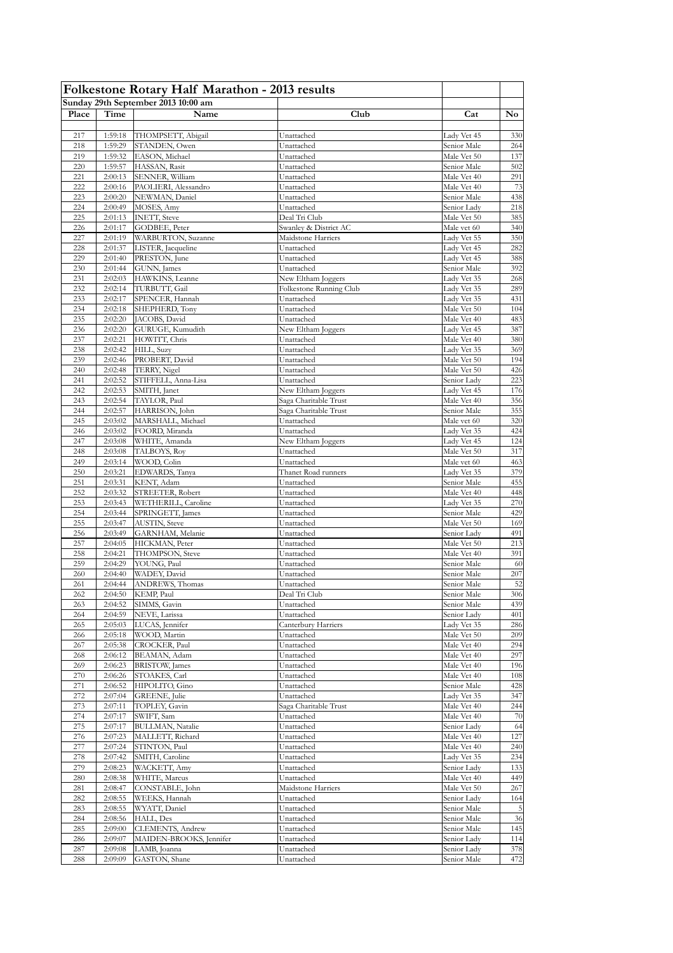|            |                    | Folkestone Rotary Half Marathon - 2013 results |                                             |                            |                        |
|------------|--------------------|------------------------------------------------|---------------------------------------------|----------------------------|------------------------|
|            |                    | Sunday 29th September 2013 10:00 am            |                                             |                            |                        |
| Place      | Time               | Name                                           | Club                                        | Cat                        | No                     |
|            |                    |                                                |                                             |                            |                        |
| 217<br>218 | 1:59:18<br>1:59:29 | THOMPSETT, Abigail<br>STANDEN, Owen            | Unattached<br>Unattached                    | Lady Vet 45<br>Senior Male | 330<br>264             |
| 219        | 1:59:32            | EASON, Michael                                 | Unattached                                  | Male Vet 50                | 137                    |
| 220        | 1:59:57            | HASSAN, Rasit                                  | Unattached                                  | Senior Male                | 502                    |
| 221        | 2:00:13            | SENNER, William                                | Unattached                                  | Male Vet 40                | 291                    |
| 222        | 2:00:16            | PAOLIERI, Alessandro                           | Unattached                                  | Male Vet 40                | 73                     |
| 223        | 2:00:20            | NEWMAN, Daniel                                 | Unattached                                  | Senior Male                | 438                    |
| 224        | 2:00:49            | MOSES, Amy                                     | Unattached                                  | Senior Ladv                | 218                    |
| 225        | 2:01:13            | <b>INETT, Steve</b>                            | Deal Tri Club                               | Male Vet 50                | 385                    |
| 226<br>227 | 2:01:17<br>2:01:19 | GODBEE, Peter<br>WARBURTON, Suzanne            | Swanley & District AC<br>Maidstone Harriers | Male vet 60<br>Lady Vet 55 | 340<br>350             |
| 228        | 2:01:37            | LISTER, Jacqueline                             | Unattached                                  | Lady Vet 45                | 282                    |
| 229        | 2:01:40            | PRESTON, June                                  | Unattached                                  | Lady Vet 45                | 388                    |
| 230        | 2:01:44            | GUNN, James                                    | Unattached                                  | Senior Male                | 392                    |
| 231        | 2:02:03            | HAWKINS, Leanne                                | New Eltham Joggers                          | Lady Vet 35                | 268                    |
| 232        | 2:02:14            | TURBUTT, Gail                                  | Folkestone Running Club                     | Lady Vet 35                | 289                    |
| 233        | 2:02:17            | SPENCER, Hannah                                | Unattached                                  | Lady Vet 35                | 431                    |
| 234        | 2:02:18            | SHEPHERD, Tony                                 | Unattached                                  | Male Vet 50                | 104                    |
| 235        | 2:02:20            | JACOBS, David                                  | Unattached                                  | Male Vet 40                | 483                    |
| 236<br>237 | 2:02:20<br>2:02:21 | GURUGE, Kumudith                               | New Eltham Joggers<br>Unattached            | Lady Vet 45                | 387<br>380             |
| 238        | 2:02:42            | HOWITT, Chris<br>HILL, Suzy                    | Unattached                                  | Male Vet 40<br>Lady Vet 35 | 369                    |
| 239        | 2:02:46            | PROBERT, David                                 | Unattached                                  | Male Vet 50                | 194                    |
| 240        | 2:02:48            | TERRY, Nigel                                   | Unattached                                  | Male Vet 50                | 426                    |
| 241        | 2:02:52            | STIFFELL, Anna-Lisa                            | Unattached                                  | Senior Lady                | 223                    |
| 242        | 2:02:53            | SMITH, Janet                                   | New Eltham Joggers                          | Lady Vet 45                | 176                    |
| 243        | 2:02:54            | TAYLOR, Paul                                   | Saga Charitable Trust                       | Male Vet 40                | 356                    |
| 244        | 2:02:57            | HARRISON, John                                 | Saga Charitable Trust                       | Senior Male                | 355                    |
| 245        | 2:03:02            | MARSHALL, Michael                              | Unattached                                  | Male vet 60                | 320                    |
| 246        | 2:03:02            | FOORD, Miranda                                 | Unattached                                  | Lady Vet 35                | 424                    |
| 247        | 2:03:08            | WHITE, Amanda                                  | New Eltham Joggers                          | Lady Vet 45                | 124                    |
| 248        | 2:03:08            | TALBOYS, Roy                                   | Unattached                                  | Male Vet 50                | 317                    |
| 249<br>250 | 2:03:14            | WOOD, Colin                                    | Unattached                                  | Male vet 60                | 463<br>379             |
| 251        | 2:03:21<br>2:03:31 | EDWARDS, Tanya<br>KENT, Adam                   | Thanet Road runners<br>Unattached           | Lady Vet 35<br>Senior Male | 455                    |
| 252        | 2:03:32            | STREETER, Robert                               | Unattached                                  | Male Vet 40                | 448                    |
| 253        | 2:03:43            | WETHERILL, Caroline                            | Unattached                                  | Lady Vet 35                | 270                    |
| 254        | 2:03:44            | SPRINGETT, James                               | Unattached                                  | Senior Male                | 429                    |
| 255        | 2:03:47            | AUSTIN, Steve                                  | Unattached                                  | Male Vet 50                | 169                    |
| 256        | 2:03:49            | GARNHAM, Melanie                               | Unattached                                  | Senior Lady                | 491                    |
| 257        | 2:04:05            | HICKMAN, Peter                                 | Unattached                                  | Male Vet 50                | 213                    |
| 258        | 2:04:21            | THOMPSON, Steve                                | Unattached                                  | Male Vet 40                | 391                    |
| 259        | 2:04:29            | YOUNG, Paul                                    | Unattached                                  | Senior Male                | 60                     |
| 260        | 2:04:40<br>2:04:44 | WADEY, David                                   | Unattached                                  | Senior Male                | 207<br>$\overline{52}$ |
| 261<br>262 | 2:04:50            | ANDREWS, Thomas<br>KEMP, Paul                  | Unattached<br>Deal Tri Club                 | Senior Male<br>Senior Male | 306                    |
| 263        | 2:04:52            | SIMMS, Gavin                                   | Unattached                                  | Senior Male                | 439                    |
| 264        | 2:04:59            | NEVE, Larissa                                  | Unattached                                  | Senior Lady                | 401                    |
| 265        | 2:05:03            | LUCAS, Jennifer                                | Canterbury Harriers                         | Lady Vet 35                | 286                    |
| 266        | 2:05:18            | WOOD, Martin                                   | Unattached                                  | Male Vet 50                | 209                    |
| 267        | 2:05:38            | CROCKER, Paul                                  | Unattached                                  | Male Vet 40                | 294                    |
| 268        | 2:06:12            | BEAMAN, Adam                                   | Unattached                                  | Male Vet 40                | 297                    |
| 269        | 2:06:23            | BRISTOW, James                                 | Unattached                                  | Male Vet 40                | 196                    |
| 270        | 2:06:26            | STOAKES, Carl                                  | Unattached                                  | Male Vet 40                | 108                    |
| 271        | 2:06:52            | HIPOLITO, Gino                                 | Unattached                                  | Senior Male                | 428                    |
| 272        | 2:07:04            | GREENE, Julie                                  | Unattached                                  | Lady Vet 35                | 347                    |
| 273<br>274 | 2:07:11<br>2:07:17 | TOPLEY, Gavin<br>SWIFT, Sam                    | Saga Charitable Trust<br>Unattached         | Male Vet 40<br>Male Vet 40 | 244<br>70              |
| 275        | 2:07:17            | <b>BULLMAN, Natalie</b>                        | Unattached                                  | Senior Lady                | 64                     |
| 276        | 2:07:23            | MALLETT, Richard                               | Unattached                                  | Male Vet 40                | 127                    |
| 277        | 2:07:24            | STINTON, Paul                                  | Unattached                                  | Male Vet 40                | 240                    |
| 278        | 2:07:42            | SMITH, Caroline                                | Unattached                                  | Lady Vet 35                | 234                    |
| 279        | 2:08:23            | WACKETT, Amy                                   | Unattached                                  | Senior Lady                | 133                    |
| 280        | 2:08:38            | WHITE, Marcus                                  | Unattached                                  | Male Vet 40                | 449                    |
| 281        | 2:08:47            | CONSTABLE, John                                | Maidstone Harriers                          | Male Vet 50                | 267                    |
| 282        | 2:08:55            | WEEKS, Hannah                                  | Unattached                                  | Senior Lady                | 164                    |
| 283        | 2:08:55            | WYATT, Daniel                                  | Unattached                                  | Senior Male                | $\overline{5}$         |
| 284        | 2:08:56            | HALL, Des                                      | Unattached                                  | Senior Male                | 36                     |
| 285        | 2:09:00            | CLEMENTS, Andrew                               | Unattached                                  | Senior Male                | 145<br>114             |
| 286<br>287 | 2:09:07<br>2:09:08 | MAIDEN-BROOKS, Jennifer<br>LAMB, Joanna        | Unattached<br>Unattached                    | Senior Lady<br>Senior Lady | 378                    |
| 288        | 2:09:09            | GASTON, Shane                                  | Unattached                                  | Senior Male                | 472                    |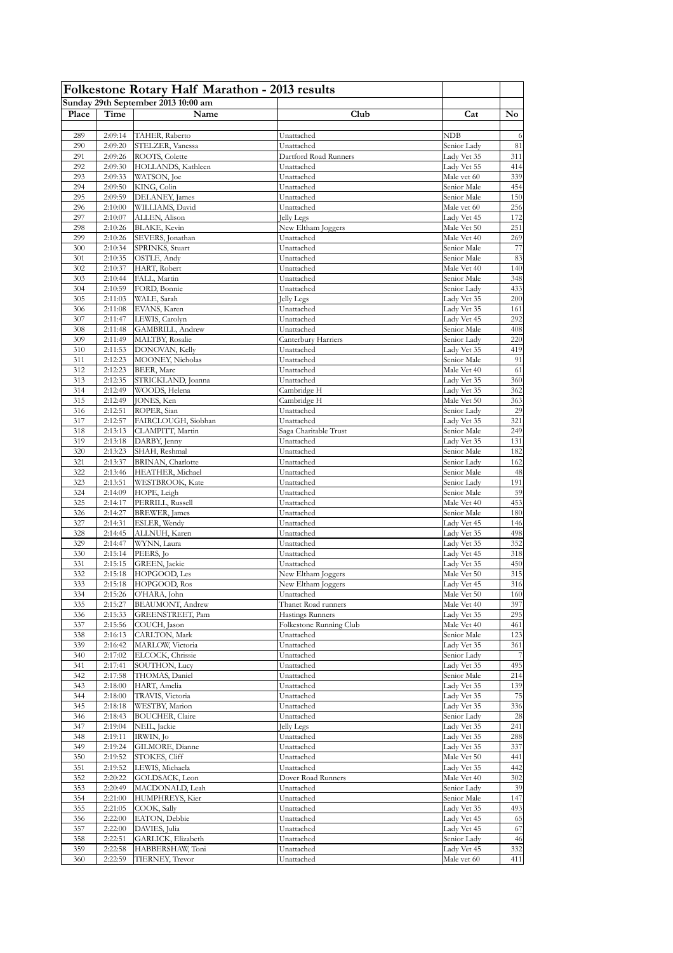| Folkestone Rotary Half Marathon - 2013 results |                    |                                     |                                     |                            |            |
|------------------------------------------------|--------------------|-------------------------------------|-------------------------------------|----------------------------|------------|
|                                                |                    | Sunday 29th September 2013 10:00 am |                                     |                            |            |
| Place                                          | Time               | Name                                | Club                                | Cat                        | No         |
|                                                |                    |                                     |                                     |                            |            |
| 289<br>290                                     | 2:09:14<br>2:09:20 | TAHER, Raberto<br>STELZER, Vanessa  | Unattached<br>Unattached            | NDB                        | 6<br>81    |
| 291                                            | 2:09:26            | ROOTS, Colette                      | Dartford Road Runners               | Senior Lady<br>Lady Vet 35 | 311        |
| 292                                            | 2:09:30            | HOLLANDS, Kathleen                  | Unattached                          | Lady Vet 55                | 414        |
| 293                                            | 2:09:33            | WATSON, Joe                         | Unattached                          | Male vet 60                | 339        |
| 294                                            | 2:09:50            | KING, Colin                         | Unattached                          | Senior Male                | 454        |
| 295                                            | 2:09:59            | DELANEY, James                      | Unattached                          | Senior Male                | 150        |
| 296                                            | 2:10:00            | WILLIAMS, David                     | Unattached                          | Male vet 60                | 256        |
| 297                                            | 2:10:07            | ALLEN, Alison                       | Jelly Legs                          | Lady Vet 45                | 172        |
| 298<br>299                                     | 2:10:26<br>2:10:26 | BLAKE, Kevin<br>SEVERS, Jonathan    | New Eltham Joggers<br>Unattached    | Male Vet 50<br>Male Vet 40 | 251<br>269 |
| 300                                            | 2:10:34            | SPRINKS, Stuart                     | Unattached                          | Senior Male                | 77         |
| 301                                            | 2:10:35            | OSTLE, Andy                         | Unattached                          | Senior Male                | 83         |
| 302                                            | 2:10:37            | HART, Robert                        | Unattached                          | Male Vet 40                | 140        |
| 303                                            | 2:10:44            | FALL, Martin                        | Unattached                          | Senior Male                | 348        |
| 304                                            | 2:10:59            | FORD, Bonnie                        | Unattached                          | Senior Lady                | 433        |
| 305                                            | 2:11:03            | WALE, Sarah                         | Jelly Legs                          | Lady Vet 35                | 200        |
| 306                                            | 2:11:08            | EVANS, Karen                        | Unattached                          | Lady Vet 35                | 161        |
| 307<br>308                                     | 2:11:47            | LEWIS, Carolyn                      | Unattached<br>Unattached            | Lady Vet 45                | 292<br>408 |
| 309                                            | 2:11:48<br>2:11:49 | GAMBRILL, Andrew<br>MALTBY, Rosalie | Canterbury Harriers                 | Senior Male<br>Senior Lady | 220        |
| 310                                            | 2:11:53            | DONOVAN, Kelly                      | Unattached                          | Lady Vet 35                | 419        |
| 311                                            | 2:12:23            | MOONEY, Nicholas                    | Unattached                          | Senior Male                | 91         |
| 312                                            | 2:12:23            | BEER, Marc                          | Unattached                          | Male Vet 40                | 61         |
| 313                                            | 2:12:35            | STRICKLAND, Joanna                  | Unattached                          | Lady Vet 35                | 360        |
| 314                                            | 2:12:49            | WOODS, Helena                       | Cambridge H                         | Lady Vet 35                | 362        |
| 315                                            | 2:12:49            | JONES, Ken                          | Cambridge H                         | Male Vet 50                | 363        |
| 316                                            | 2:12:51            | ROPER, Sian                         | Unattached                          | Senior Lady                | 29         |
| 317                                            | 2:12:57            | FAIRCLOUGH, Siobhan                 | Unattached                          | Lady Vet 35                | 321        |
| 318<br>319                                     | 2:13:13<br>2:13:18 | CLAMPITT, Martin                    | Saga Charitable Trust<br>Unattached | Senior Male                | 249<br>131 |
| 320                                            | 2:13:23            | DARBY, Jenny<br>SHAH, Reshmal       | Unattached                          | Lady Vet 35<br>Senior Male | 182        |
| 321                                            | 2:13:37            | BRINAN, Charlotte                   | Unattached                          | Senior Lady                | 162        |
| 322                                            | 2:13:46            | HEATHER, Michael                    | Unattached                          | Senior Male                | 48         |
| 323                                            | 2:13:51            | WESTBROOK, Kate                     | Unattached                          | Senior Lady                | 191        |
| 324                                            | 2:14:09            | HOPE, Leigh                         | Unattached                          | Senior Male                | 59         |
| 325                                            | 2:14:17            | PERRILL, Russell                    | Unattached                          | Male Vet 40                | 453        |
| 326                                            | 2:14:27            | BREWER, James                       | Unattached                          | Senior Male                | 180        |
| 327                                            | 2:14:31            | ESLER, Wendy                        | Unattached                          | Lady Vet 45                | 146        |
| 328                                            | 2:14:45            | ALLNUH, Karen                       | Unattached                          | Lady Vet 35                | 498        |
| 329<br>330                                     | 2:14:47<br>2:15:14 | WYNN, Laura<br>PEERS, Jo            | Unattached<br>Unattached            | Lady Vet 35<br>Lady Vet 45 | 352<br>318 |
| 331                                            | 2:15:15            | GREEN, Jackie                       | Unattached                          | Lady Vet 35                | 450        |
| 332                                            | 2:15:18            | HOPGOOD, Les                        | New Eltham Joggers                  | Male Vet 50                | 315        |
| 333                                            | 2:15:18            | HOPGOOD, Ros                        | New Eltham Joggers                  | Lady Vet 45                | 316        |
| 334                                            | 2:15:26            | O'HARA, John                        | Unattached                          | Male Vet 50                | 160        |
| 335                                            | 2:15:27            | BEAUMONT, Andrew                    | Thanet Road runners                 | Male Vet 40                | 397        |
| 336                                            | 2:15:33            | GREENSTREET, Pam                    | Hastings Runners                    | Lady Vet 35                | 295        |
| 337                                            | 2:15:56            | COUCH, Jason                        | Folkestone Running Club             | Male Vet 40                | 461        |
| 338                                            | 2:16:13            | CARLTON, Mark                       | Unattached                          | Senior Male                | 123        |
| 339                                            | 2:16:42            | MARLOW, Victoria                    | Unattached                          | Lady Vet 35                | 361        |
| 340<br>341                                     | 2:17:02<br>2:17:41 | ELCOCK, Chrissie<br>SOUTHON, Lucy   | Unattached<br>Unattached            | Senior Lady<br>Lady Vet 35 | 495        |
| 342                                            | 2:17:58            | THOMAS, Daniel                      | Unattached                          | Senior Male                | 214        |
| 343                                            | 2:18:00            | HART, Amelia                        | Unattached                          | Lady Vet 35                | 139        |
| 344                                            | 2:18:00            | TRAVIS, Victoria                    | Unattached                          | Lady Vet 35                | 75         |
| 345                                            | 2:18:18            | WESTBY, Marion                      | Unattached                          | Lady Vet 35                | 336        |
| 346                                            | 2:18:43            | BOUCHER, Claire                     | Unattached                          | Senior Lady                | 28         |
| 347                                            | 2:19:04            | NEIL, Jackie                        | Jelly Legs                          | Lady Vet 35                | 241        |
| 348                                            | 2:19:11            | IRWIN, Jo                           | Unattached                          | Lady Vet 35                | 288        |
| 349                                            | 2:19:24            | GILMORE, Dianne                     | Unattached                          | Lady Vet 35                | 337        |
| 350                                            | 2:19:52            | STOKES, Cliff                       | Unattached                          | Male Vet 50                | 441        |
| 351<br>352                                     | 2:19:52<br>2:20:22 | LEWIS, Michaela                     | Unattached<br>Dover Road Runners    | Lady Vet 35<br>Male Vet 40 | 442<br>302 |
| 353                                            | 2:20:49            | GOLDSACK, Leon<br>MACDONALD, Leah   | Unattached                          | Senior Lady                | 39         |
| 354                                            | 2:21:00            | HUMPHREYS, Kier                     | Unattached                          | Senior Male                | 147        |
| 355                                            | 2:21:05            | COOK, Sally                         | Unattached                          | Lady Vet 35                | 493        |
| 356                                            | 2:22:00            | EATON, Debbie                       | Unattached                          | Lady Vet 45                | 65         |
| 357                                            | 2:22:00            | DAVIES, Julia                       | Unattached                          | Lady Vet 45                | 67         |
| 358                                            | 2:22:51            | GARLICK, Elizabeth                  | Unattached                          | Senior Lady                | 46         |
| 359                                            | 2:22:58            | HABBERSHAW, Toni                    | Unattached                          | Lady Vet 45                | 332        |
| 360                                            | 2:22:59            | TIERNEY, Trevor                     | Unattached                          | Male vet 60                | 411        |